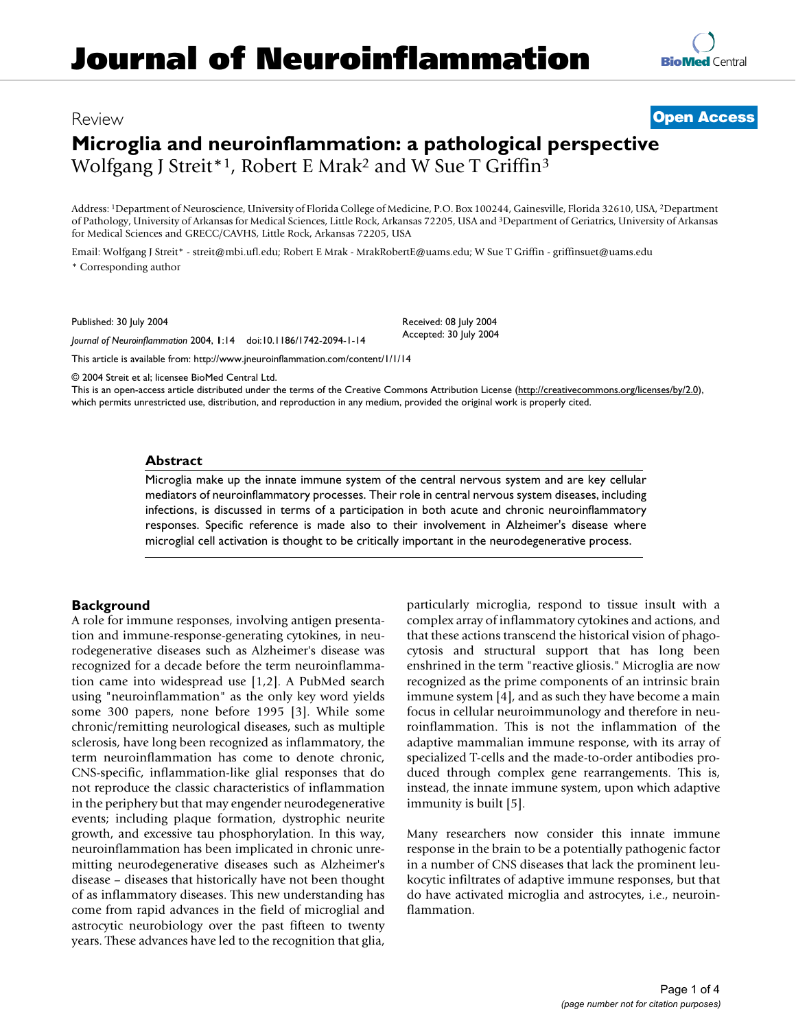## Review **[Open Access](http://www.biomedcentral.com/info/about/charter/)**

# **Microglia and neuroinflammation: a pathological perspective** Wolfgang J Streit\*1, Robert E Mrak2 and W Sue T Griffin3

Address: 1Department of Neuroscience, University of Florida College of Medicine, P.O. Box 100244, Gainesville, Florida 32610, USA, 2Department of Pathology, University of Arkansas for Medical Sciences, Little Rock, Arkansas 72205, USA and 3Department of Geriatrics, University of Arkansas for Medical Sciences and GRECC/CAVHS, Little Rock, Arkansas 72205, USA

> Received: 08 July 2004 Accepted: 30 July 2004

Email: Wolfgang J Streit\* - streit@mbi.ufl.edu; Robert E Mrak - MrakRobertE@uams.edu; W Sue T Griffin - griffinsuet@uams.edu \* Corresponding author

Published: 30 July 2004

*Journal of Neuroinflammation* 2004, **1**:14 doi:10.1186/1742-2094-1-14

[This article is available from: http://www.jneuroinflammation.com/content/1/1/14](http://www.jneuroinflammation.com/content/1/1/14)

© 2004 Streit et al; licensee BioMed Central Ltd.

This is an open-access article distributed under the terms of the Creative Commons Attribution License (<http://creativecommons.org/licenses/by/2.0>), which permits unrestricted use, distribution, and reproduction in any medium, provided the original work is properly cited.

#### **Abstract**

Microglia make up the innate immune system of the central nervous system and are key cellular mediators of neuroinflammatory processes. Their role in central nervous system diseases, including infections, is discussed in terms of a participation in both acute and chronic neuroinflammatory responses. Specific reference is made also to their involvement in Alzheimer's disease where microglial cell activation is thought to be critically important in the neurodegenerative process.

## **Background**

A role for immune responses, involving antigen presentation and immune-response-generating cytokines, in neurodegenerative diseases such as Alzheimer's disease was recognized for a decade before the term neuroinflammation came into widespread use [1,2]. A PubMed search using "neuroinflammation" as the only key word yields some 300 papers, none before 1995 [3]. While some chronic/remitting neurological diseases, such as multiple sclerosis, have long been recognized as inflammatory, the term neuroinflammation has come to denote chronic, CNS-specific, inflammation-like glial responses that do not reproduce the classic characteristics of inflammation in the periphery but that may engender neurodegenerative events; including plaque formation, dystrophic neurite growth, and excessive tau phosphorylation. In this way, neuroinflammation has been implicated in chronic unremitting neurodegenerative diseases such as Alzheimer's disease – diseases that historically have not been thought of as inflammatory diseases. This new understanding has come from rapid advances in the field of microglial and astrocytic neurobiology over the past fifteen to twenty years. These advances have led to the recognition that glia, particularly microglia, respond to tissue insult with a complex array of inflammatory cytokines and actions, and that these actions transcend the historical vision of phagocytosis and structural support that has long been enshrined in the term "reactive gliosis." Microglia are now recognized as the prime components of an intrinsic brain immune system [4], and as such they have become a main focus in cellular neuroimmunology and therefore in neuroinflammation. This is not the inflammation of the adaptive mammalian immune response, with its array of specialized T-cells and the made-to-order antibodies produced through complex gene rearrangements. This is, instead, the innate immune system, upon which adaptive immunity is built [5].

Many researchers now consider this innate immune response in the brain to be a potentially pathogenic factor in a number of CNS diseases that lack the prominent leukocytic infiltrates of adaptive immune responses, but that do have activated microglia and astrocytes, i.e., neuroinflammation.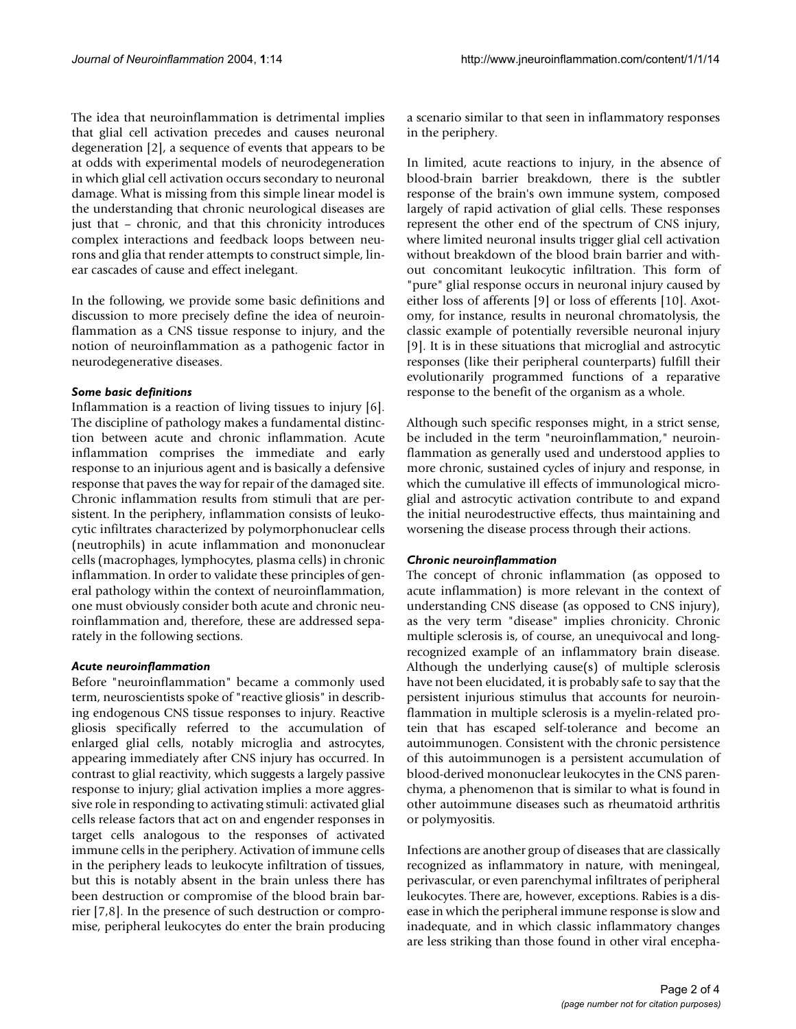The idea that neuroinflammation is detrimental implies that glial cell activation precedes and causes neuronal degeneration [2], a sequence of events that appears to be at odds with experimental models of neurodegeneration in which glial cell activation occurs secondary to neuronal damage. What is missing from this simple linear model is the understanding that chronic neurological diseases are just that – chronic, and that this chronicity introduces complex interactions and feedback loops between neurons and glia that render attempts to construct simple, linear cascades of cause and effect inelegant.

In the following, we provide some basic definitions and discussion to more precisely define the idea of neuroinflammation as a CNS tissue response to injury, and the notion of neuroinflammation as a pathogenic factor in neurodegenerative diseases.

#### *Some basic definitions*

Inflammation is a reaction of living tissues to injury [6]. The discipline of pathology makes a fundamental distinction between acute and chronic inflammation. Acute inflammation comprises the immediate and early response to an injurious agent and is basically a defensive response that paves the way for repair of the damaged site. Chronic inflammation results from stimuli that are persistent. In the periphery, inflammation consists of leukocytic infiltrates characterized by polymorphonuclear cells (neutrophils) in acute inflammation and mononuclear cells (macrophages, lymphocytes, plasma cells) in chronic inflammation. In order to validate these principles of general pathology within the context of neuroinflammation, one must obviously consider both acute and chronic neuroinflammation and, therefore, these are addressed separately in the following sections.

#### *Acute neuroinflammation*

Before "neuroinflammation" became a commonly used term, neuroscientists spoke of "reactive gliosis" in describing endogenous CNS tissue responses to injury. Reactive gliosis specifically referred to the accumulation of enlarged glial cells, notably microglia and astrocytes, appearing immediately after CNS injury has occurred. In contrast to glial reactivity, which suggests a largely passive response to injury; glial activation implies a more aggressive role in responding to activating stimuli: activated glial cells release factors that act on and engender responses in target cells analogous to the responses of activated immune cells in the periphery. Activation of immune cells in the periphery leads to leukocyte infiltration of tissues, but this is notably absent in the brain unless there has been destruction or compromise of the blood brain barrier [7,8]. In the presence of such destruction or compromise, peripheral leukocytes do enter the brain producing a scenario similar to that seen in inflammatory responses in the periphery.

In limited, acute reactions to injury, in the absence of blood-brain barrier breakdown, there is the subtler response of the brain's own immune system, composed largely of rapid activation of glial cells. These responses represent the other end of the spectrum of CNS injury, where limited neuronal insults trigger glial cell activation without breakdown of the blood brain barrier and without concomitant leukocytic infiltration. This form of "pure" glial response occurs in neuronal injury caused by either loss of afferents [9] or loss of efferents [10]. Axotomy, for instance, results in neuronal chromatolysis, the classic example of potentially reversible neuronal injury [9]. It is in these situations that microglial and astrocytic responses (like their peripheral counterparts) fulfill their evolutionarily programmed functions of a reparative response to the benefit of the organism as a whole.

Although such specific responses might, in a strict sense, be included in the term "neuroinflammation," neuroinflammation as generally used and understood applies to more chronic, sustained cycles of injury and response, in which the cumulative ill effects of immunological microglial and astrocytic activation contribute to and expand the initial neurodestructive effects, thus maintaining and worsening the disease process through their actions.

#### *Chronic neuroinflammation*

The concept of chronic inflammation (as opposed to acute inflammation) is more relevant in the context of understanding CNS disease (as opposed to CNS injury), as the very term "disease" implies chronicity. Chronic multiple sclerosis is, of course, an unequivocal and longrecognized example of an inflammatory brain disease. Although the underlying cause(s) of multiple sclerosis have not been elucidated, it is probably safe to say that the persistent injurious stimulus that accounts for neuroinflammation in multiple sclerosis is a myelin-related protein that has escaped self-tolerance and become an autoimmunogen. Consistent with the chronic persistence of this autoimmunogen is a persistent accumulation of blood-derived mononuclear leukocytes in the CNS parenchyma, a phenomenon that is similar to what is found in other autoimmune diseases such as rheumatoid arthritis or polymyositis.

Infections are another group of diseases that are classically recognized as inflammatory in nature, with meningeal, perivascular, or even parenchymal infiltrates of peripheral leukocytes. There are, however, exceptions. Rabies is a disease in which the peripheral immune response is slow and inadequate, and in which classic inflammatory changes are less striking than those found in other viral encepha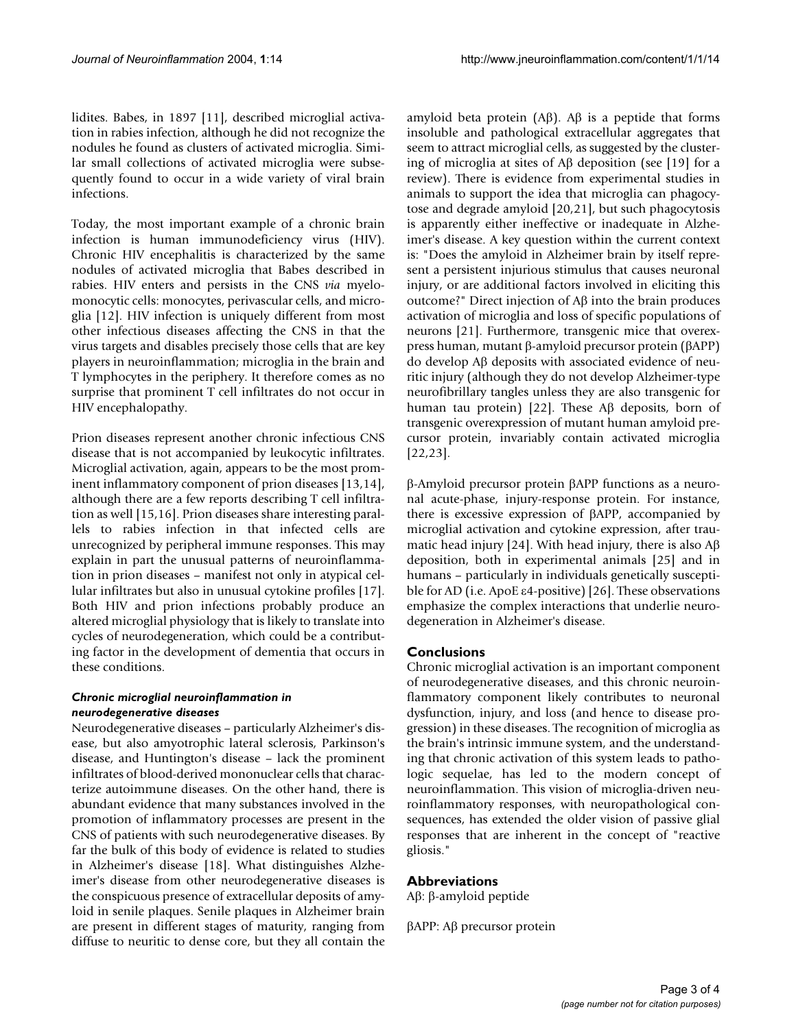lidites. Babes, in 1897 [11], described microglial activation in rabies infection, although he did not recognize the nodules he found as clusters of activated microglia. Similar small collections of activated microglia were subsequently found to occur in a wide variety of viral brain infections.

Today, the most important example of a chronic brain infection is human immunodeficiency virus (HIV). Chronic HIV encephalitis is characterized by the same nodules of activated microglia that Babes described in rabies. HIV enters and persists in the CNS *via* myelomonocytic cells: monocytes, perivascular cells, and microglia [12]. HIV infection is uniquely different from most other infectious diseases affecting the CNS in that the virus targets and disables precisely those cells that are key players in neuroinflammation; microglia in the brain and T lymphocytes in the periphery. It therefore comes as no surprise that prominent T cell infiltrates do not occur in HIV encephalopathy.

Prion diseases represent another chronic infectious CNS disease that is not accompanied by leukocytic infiltrates. Microglial activation, again, appears to be the most prominent inflammatory component of prion diseases [13,14], although there are a few reports describing T cell infiltration as well [15,16]. Prion diseases share interesting parallels to rabies infection in that infected cells are unrecognized by peripheral immune responses. This may explain in part the unusual patterns of neuroinflammation in prion diseases – manifest not only in atypical cellular infiltrates but also in unusual cytokine profiles [17]. Both HIV and prion infections probably produce an altered microglial physiology that is likely to translate into cycles of neurodegeneration, which could be a contributing factor in the development of dementia that occurs in these conditions.

#### *Chronic microglial neuroinflammation in neurodegenerative diseases*

Neurodegenerative diseases – particularly Alzheimer's disease, but also amyotrophic lateral sclerosis, Parkinson's disease, and Huntington's disease – lack the prominent infiltrates of blood-derived mononuclear cells that characterize autoimmune diseases. On the other hand, there is abundant evidence that many substances involved in the promotion of inflammatory processes are present in the CNS of patients with such neurodegenerative diseases. By far the bulk of this body of evidence is related to studies in Alzheimer's disease [18]. What distinguishes Alzheimer's disease from other neurodegenerative diseases is the conspicuous presence of extracellular deposits of amyloid in senile plaques. Senile plaques in Alzheimer brain are present in different stages of maturity, ranging from diffuse to neuritic to dense core, but they all contain the amyloid beta protein (Aβ). Aβ is a peptide that forms insoluble and pathological extracellular aggregates that seem to attract microglial cells, as suggested by the clustering of microglia at sites of Aβ deposition (see [19] for a review). There is evidence from experimental studies in animals to support the idea that microglia can phagocytose and degrade amyloid [20,21], but such phagocytosis is apparently either ineffective or inadequate in Alzheimer's disease. A key question within the current context is: "Does the amyloid in Alzheimer brain by itself represent a persistent injurious stimulus that causes neuronal injury, or are additional factors involved in eliciting this outcome?" Direct injection of Aβ into the brain produces activation of microglia and loss of specific populations of neurons [21]. Furthermore, transgenic mice that overexpress human, mutant β-amyloid precursor protein (βAPP) do develop Aβ deposits with associated evidence of neuritic injury (although they do not develop Alzheimer-type neurofibrillary tangles unless they are also transgenic for human tau protein) [\[22](#page-3-0)]. These Aβ deposits, born of transgenic overexpression of mutant human amyloid precursor protein, invariably contain activated microglia [[22](#page-3-0),23].

β-Amyloid precursor protein βAPP functions as a neuronal acute-phase, injury-response protein. For instance, there is excessive expression of βAPP, accompanied by microglial activation and cytokine expression, after traumatic head injury [24]. With head injury, there is also Aβ deposition, both in experimental animals [25] and in humans – particularly in individuals genetically susceptible for AD (i.e. ApoE ε4-positive) [26]. These observations emphasize the complex interactions that underlie neurodegeneration in Alzheimer's disease.

## **Conclusions**

Chronic microglial activation is an important component of neurodegenerative diseases, and this chronic neuroinflammatory component likely contributes to neuronal dysfunction, injury, and loss (and hence to disease progression) in these diseases. The recognition of microglia as the brain's intrinsic immune system, and the understanding that chronic activation of this system leads to pathologic sequelae, has led to the modern concept of neuroinflammation. This vision of microglia-driven neuroinflammatory responses, with neuropathological consequences, has extended the older vision of passive glial responses that are inherent in the concept of "reactive gliosis."

#### **Abbreviations**

Aβ: β-amyloid peptide

βAPP: Aβ precursor protein